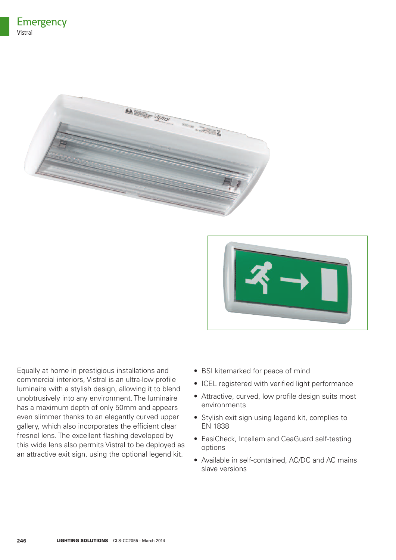



Equally at home in prestigious installations and commercial interiors, Vistral is an ultra-low profile luminaire with a stylish design, allowing it to blend unobtrusively into any environment. The luminaire has a maximum depth of only 50mm and appears even slimmer thanks to an elegantly curved upper gallery, which also incorporates the efficient clear fresnel lens. The excellent flashing developed by this wide lens also permits Vistral to be deployed as an attractive exit sign, using the optional legend kit.

- BSI kitemarked for peace of mind
- ICEL registered with verified light performance
- Attractive, curved, low profile design suits most environments
- Stylish exit sign using legend kit, complies to EN 1838
- EasiCheck, Intellem and CeaGuard self-testing options
- Available in self-contained, AC/DC and AC mains slave versions

**246**